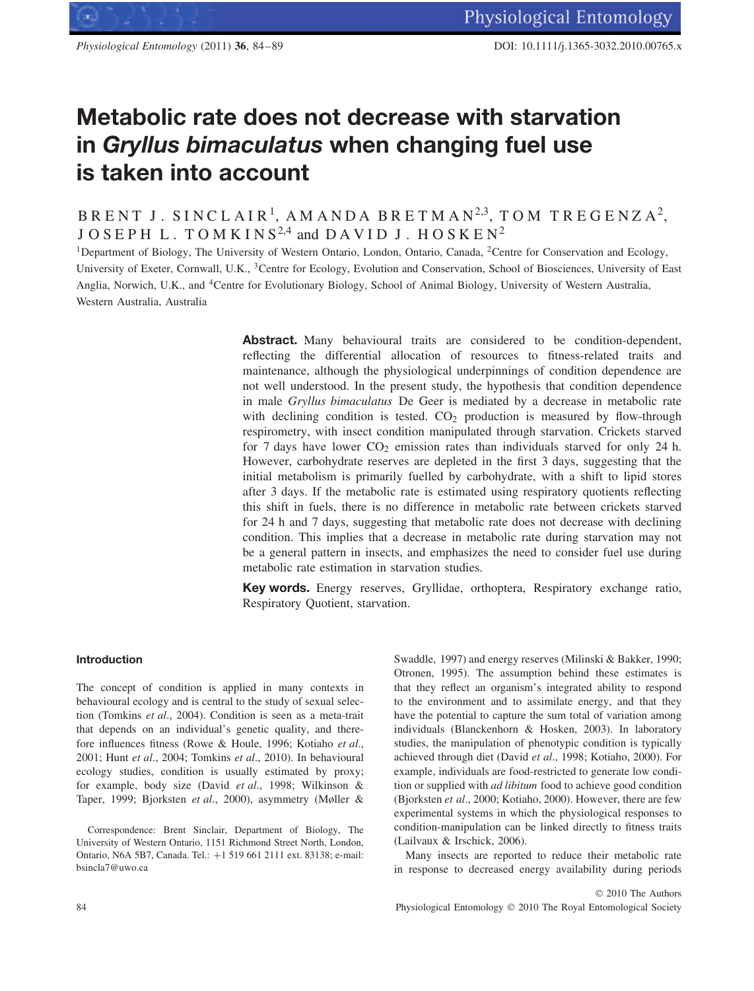# **Metabolic rate does not decrease with starvation in** *Gryllus bimaculatus* **when changing fuel use is taken into account**

BRENT J. SINCLAIR<sup>1</sup>, AMANDA BRETMAN<sup>2,3</sup>, TOM TREGENZA<sup>2</sup>, JOSEPH L. TOMKINS<sup>2,4</sup> and DAVID J. HOSKEN<sup>2</sup>

<sup>1</sup>Department of Biology, The University of Western Ontario, London, Ontario, Canada, <sup>2</sup>Centre for Conservation and Ecology, University of Exeter, Cornwall, U.K., <sup>3</sup>Centre for Ecology, Evolution and Conservation, School of Biosciences, University of East Anglia, Norwich, U.K., and 4Centre for Evolutionary Biology, School of Animal Biology, University of Western Australia, Western Australia, Australia

> Abstract. Many behavioural traits are considered to be condition-dependent, reflecting the differential allocation of resources to fitness-related traits and maintenance, although the physiological underpinnings of condition dependence are not well understood. In the present study, the hypothesis that condition dependence in male *Gryllus bimaculatus* De Geer is mediated by a decrease in metabolic rate with declining condition is tested.  $CO<sub>2</sub>$  production is measured by flow-through respirometry, with insect condition manipulated through starvation. Crickets starved for 7 days have lower  $CO<sub>2</sub>$  emission rates than individuals starved for only 24 h. However, carbohydrate reserves are depleted in the first 3 days, suggesting that the initial metabolism is primarily fuelled by carbohydrate, with a shift to lipid stores after 3 days. If the metabolic rate is estimated using respiratory quotients reflecting this shift in fuels, there is no difference in metabolic rate between crickets starved for 24 h and 7 days, suggesting that metabolic rate does not decrease with declining condition. This implies that a decrease in metabolic rate during starvation may not be a general pattern in insects, and emphasizes the need to consider fuel use during metabolic rate estimation in starvation studies.

> **Key words.** Energy reserves, Gryllidae, orthoptera, Respiratory exchange ratio, Respiratory Quotient, starvation.

## **Introduction**

The concept of condition is applied in many contexts in behavioural ecology and is central to the study of sexual selection (Tomkins *et al*., 2004). Condition is seen as a meta-trait that depends on an individual's genetic quality, and therefore influences fitness (Rowe & Houle, 1996; Kotiaho *et al*., 2001; Hunt *et al*., 2004; Tomkins *et al*., 2010). In behavioural ecology studies, condition is usually estimated by proxy; for example, body size (David *et al*., 1998; Wilkinson & Taper, 1999; Bjorksten *et al*., 2000), asymmetry (Møller &

Correspondence: Brent Sinclair, Department of Biology, The University of Western Ontario, 1151 Richmond Street North, London, Ontario, N6A 5B7, Canada. Tel.: +1 519 661 2111 ext. 83138; e-mail: bsincla7@uwo.ca

Swaddle, 1997) and energy reserves (Milinski & Bakker, 1990; Otronen, 1995). The assumption behind these estimates is that they reflect an organism's integrated ability to respond to the environment and to assimilate energy, and that they have the potential to capture the sum total of variation among individuals (Blanckenhorn & Hosken, 2003). In laboratory studies, the manipulation of phenotypic condition is typically achieved through diet (David *et al*., 1998; Kotiaho, 2000). For example, individuals are food-restricted to generate low condition or supplied with *ad libitum* food to achieve good condition (Bjorksten *et al*., 2000; Kotiaho, 2000). However, there are few experimental systems in which the physiological responses to condition-manipulation can be linked directly to fitness traits (Lailvaux & Irschick, 2006).

Many insects are reported to reduce their metabolic rate in response to decreased energy availability during periods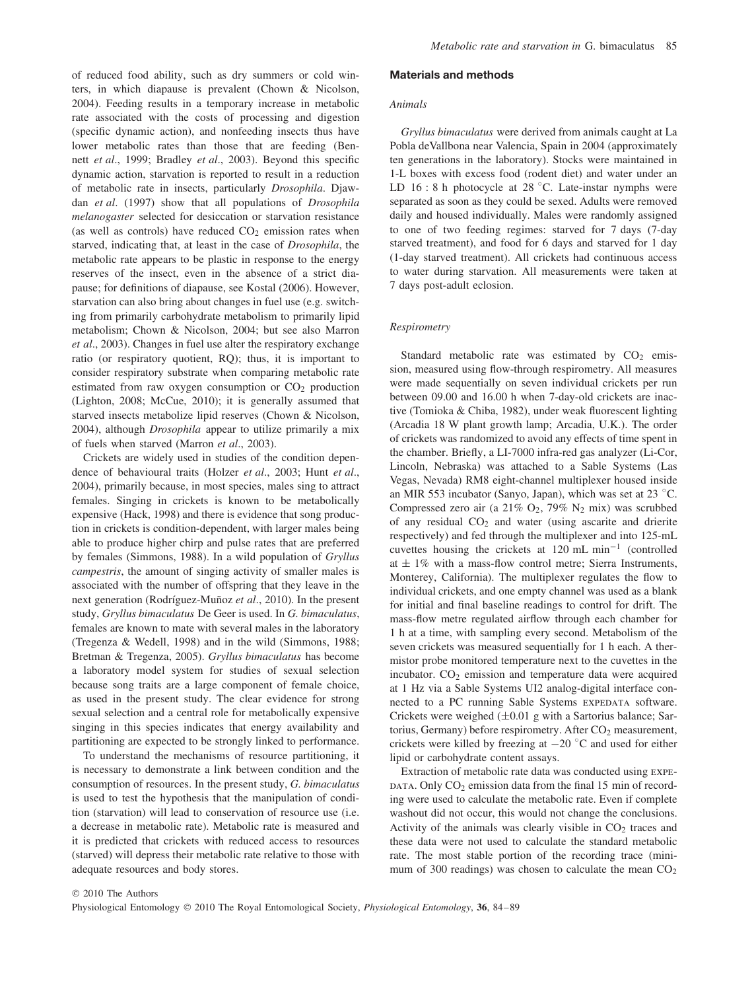of reduced food ability, such as dry summers or cold winters, in which diapause is prevalent (Chown & Nicolson, 2004). Feeding results in a temporary increase in metabolic rate associated with the costs of processing and digestion (specific dynamic action), and nonfeeding insects thus have lower metabolic rates than those that are feeding (Bennett *et al*., 1999; Bradley *et al*., 2003). Beyond this specific dynamic action, starvation is reported to result in a reduction of metabolic rate in insects, particularly *Drosophila*. Djawdan *et al*. (1997) show that all populations of *Drosophila melanogaster* selected for desiccation or starvation resistance (as well as controls) have reduced  $CO<sub>2</sub>$  emission rates when starved, indicating that, at least in the case of *Drosophila*, the metabolic rate appears to be plastic in response to the energy reserves of the insect, even in the absence of a strict diapause; for definitions of diapause, see Kostal (2006). However, starvation can also bring about changes in fuel use (e.g. switching from primarily carbohydrate metabolism to primarily lipid metabolism; Chown & Nicolson, 2004; but see also Marron *et al*., 2003). Changes in fuel use alter the respiratory exchange ratio (or respiratory quotient, RQ); thus, it is important to consider respiratory substrate when comparing metabolic rate estimated from raw oxygen consumption or  $CO<sub>2</sub>$  production (Lighton, 2008; McCue, 2010); it is generally assumed that starved insects metabolize lipid reserves (Chown & Nicolson, 2004), although *Drosophila* appear to utilize primarily a mix of fuels when starved (Marron *et al*., 2003).

Crickets are widely used in studies of the condition dependence of behavioural traits (Holzer *et al*., 2003; Hunt *et al*., 2004), primarily because, in most species, males sing to attract females. Singing in crickets is known to be metabolically expensive (Hack, 1998) and there is evidence that song production in crickets is condition-dependent, with larger males being able to produce higher chirp and pulse rates that are preferred by females (Simmons, 1988). In a wild population of *Gryllus campestris*, the amount of singing activity of smaller males is associated with the number of offspring that they leave in the next generation (Rodríguez-Muñoz et al., 2010). In the present study, *Gryllus bimaculatus* De Geer is used. In *G. bimaculatus*, females are known to mate with several males in the laboratory (Tregenza & Wedell, 1998) and in the wild (Simmons, 1988; Bretman & Tregenza, 2005). *Gryllus bimaculatus* has become a laboratory model system for studies of sexual selection because song traits are a large component of female choice, as used in the present study. The clear evidence for strong sexual selection and a central role for metabolically expensive singing in this species indicates that energy availability and partitioning are expected to be strongly linked to performance.

To understand the mechanisms of resource partitioning, it is necessary to demonstrate a link between condition and the consumption of resources. In the present study, *G. bimaculatus* is used to test the hypothesis that the manipulation of condition (starvation) will lead to conservation of resource use (i.e. a decrease in metabolic rate). Metabolic rate is measured and it is predicted that crickets with reduced access to resources (starved) will depress their metabolic rate relative to those with adequate resources and body stores.

#### **Materials and methods**

#### *Animals*

*Gryllus bimaculatus* were derived from animals caught at La Pobla deVallbona near Valencia, Spain in 2004 (approximately ten generations in the laboratory). Stocks were maintained in 1-L boxes with excess food (rodent diet) and water under an LD  $16:8$  h photocycle at  $28\text{ °C}$ . Late-instar nymphs were separated as soon as they could be sexed. Adults were removed daily and housed individually. Males were randomly assigned to one of two feeding regimes: starved for 7 days (7-day starved treatment), and food for 6 days and starved for 1 day (1-day starved treatment). All crickets had continuous access to water during starvation. All measurements were taken at 7 days post-adult eclosion.

#### *Respirometry*

Standard metabolic rate was estimated by  $CO<sub>2</sub>$  emission, measured using flow-through respirometry. All measures were made sequentially on seven individual crickets per run between 09.00 and 16.00 h when 7-day-old crickets are inactive (Tomioka & Chiba, 1982), under weak fluorescent lighting (Arcadia 18 W plant growth lamp; Arcadia, U.K.). The order of crickets was randomized to avoid any effects of time spent in the chamber. Briefly, a LI-7000 infra-red gas analyzer (Li-Cor, Lincoln, Nebraska) was attached to a Sable Systems (Las Vegas, Nevada) RM8 eight-channel multiplexer housed inside an MIR 553 incubator (Sanyo, Japan), which was set at 23 ◦ C. Compressed zero air (a 21%  $O_2$ , 79%  $N_2$  mix) was scrubbed of any residual  $CO<sub>2</sub>$  and water (using ascarite and drierite respectively) and fed through the multiplexer and into 125-mL cuvettes housing the crickets at 120 mL min−<sup>1</sup> (controlled at  $\pm$  1% with a mass-flow control metre; Sierra Instruments, Monterey, California). The multiplexer regulates the flow to individual crickets, and one empty channel was used as a blank for initial and final baseline readings to control for drift. The mass-flow metre regulated airflow through each chamber for 1 h at a time, with sampling every second. Metabolism of the seven crickets was measured sequentially for 1 h each. A thermistor probe monitored temperature next to the cuvettes in the incubator.  $CO<sub>2</sub>$  emission and temperature data were acquired at 1 Hz via a Sable Systems UI2 analog-digital interface connected to a PC running Sable Systems EXPEDATA software. Crickets were weighed  $(\pm 0.01 \text{ g with a Sartorius balance};$  Sartorius, Germany) before respirometry. After CO<sub>2</sub> measurement, crickets were killed by freezing at  $-20$  °C and used for either lipid or carbohydrate content assays.

Extraction of metabolic rate data was conducted using expe-DATA. Only  $CO<sub>2</sub>$  emission data from the final 15 min of recording were used to calculate the metabolic rate. Even if complete washout did not occur, this would not change the conclusions. Activity of the animals was clearly visible in  $CO<sub>2</sub>$  traces and these data were not used to calculate the standard metabolic rate. The most stable portion of the recording trace (minimum of 300 readings) was chosen to calculate the mean  $CO<sub>2</sub>$ 

© 2010 The Authors Physiological Entomology © 2010 The Royal Entomological Society, *Physiological Entomology*, **36**, 84–89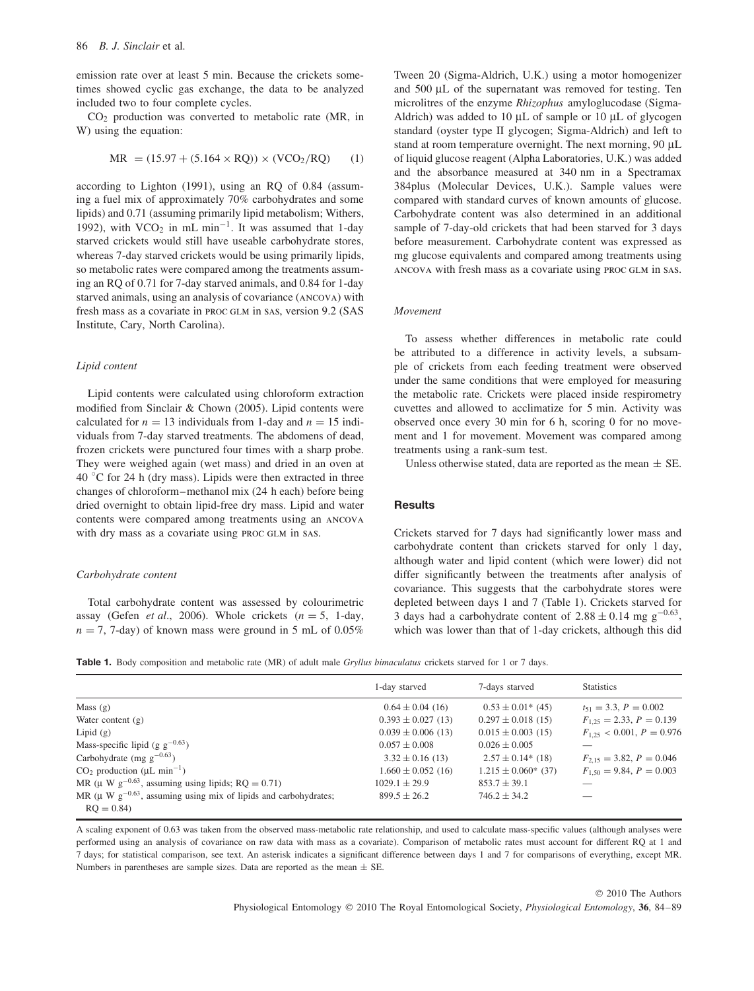emission rate over at least 5 min. Because the crickets sometimes showed cyclic gas exchange, the data to be analyzed included two to four complete cycles.

CO2 production was converted to metabolic rate (MR, in W) using the equation:

$$
MR = (15.97 + (5.164 \times RQ)) \times (VCO_2/RQ) \tag{1}
$$

according to Lighton (1991), using an RQ of 0.84 (assuming a fuel mix of approximately 70% carbohydrates and some lipids) and 0.71 (assuming primarily lipid metabolism; Withers, 1992), with VCO<sub>2</sub> in mL min<sup>-1</sup>. It was assumed that 1-day starved crickets would still have useable carbohydrate stores, whereas 7-day starved crickets would be using primarily lipids, so metabolic rates were compared among the treatments assuming an RQ of 0.71 for 7-day starved animals, and 0.84 for 1-day starved animals, using an analysis of covariance (ancova) with fresh mass as a covariate in PROC GLM in SAS, version 9.2 (SAS Institute, Cary, North Carolina).

#### *Lipid content*

Lipid contents were calculated using chloroform extraction modified from Sinclair & Chown (2005). Lipid contents were calculated for  $n = 13$  individuals from 1-day and  $n = 15$  individuals from 7-day starved treatments. The abdomens of dead, frozen crickets were punctured four times with a sharp probe. They were weighed again (wet mass) and dried in an oven at 40 °C for 24 h (dry mass). Lipids were then extracted in three changes of chloroform–methanol mix (24 h each) before being dried overnight to obtain lipid-free dry mass. Lipid and water contents were compared among treatments using an ancova with dry mass as a covariate using PROC GLM in SAS.

#### *Carbohydrate content*

Total carbohydrate content was assessed by colourimetric assay (Gefen *et al*., 2006). Whole crickets *(n* = 5, 1-day,  $n = 7$ , 7-day) of known mass were ground in 5 mL of 0.05% Tween 20 (Sigma-Aldrich, U.K.) using a motor homogenizer and 500 μL of the supernatant was removed for testing. Ten microlitres of the enzyme *Rhizophus* amyloglucodase (Sigma-Aldrich) was added to 10 μL of sample or 10 μL of glycogen standard (oyster type II glycogen; Sigma-Aldrich) and left to stand at room temperature overnight. The next morning, 90 μL of liquid glucose reagent (Alpha Laboratories, U.K.) was added and the absorbance measured at 340 nm in a Spectramax 384plus (Molecular Devices, U.K.). Sample values were compared with standard curves of known amounts of glucose. Carbohydrate content was also determined in an additional sample of 7-day-old crickets that had been starved for 3 days before measurement. Carbohydrate content was expressed as mg glucose equivalents and compared among treatments using ancova with fresh mass as a covariate using proc glm in sas.

#### *Movement*

To assess whether differences in metabolic rate could be attributed to a difference in activity levels, a subsample of crickets from each feeding treatment were observed under the same conditions that were employed for measuring the metabolic rate. Crickets were placed inside respirometry cuvettes and allowed to acclimatize for 5 min. Activity was observed once every 30 min for 6 h, scoring 0 for no movement and 1 for movement. Movement was compared among treatments using a rank-sum test.

Unless otherwise stated, data are reported as the mean  $\pm$  SE.

## **Results**

Crickets starved for 7 days had significantly lower mass and carbohydrate content than crickets starved for only 1 day, although water and lipid content (which were lower) did not differ significantly between the treatments after analysis of covariance. This suggests that the carbohydrate stores were depleted between days 1 and 7 (Table 1). Crickets starved for 3 days had a carbohydrate content of  $2.88 \pm 0.14$  mg g<sup>-0.63</sup>, which was lower than that of 1-day crickets, although this did

**Table 1.** Body composition and metabolic rate (MR) of adult male *Gryllus bimaculatus* crickets starved for 1 or 7 days.

|                                                                                   | 1-day starved          | 7-days starved           | <b>Statistics</b>               |
|-----------------------------------------------------------------------------------|------------------------|--------------------------|---------------------------------|
| Mass $(g)$                                                                        | $0.64 \pm 0.04$ (16)   | $0.53 \pm 0.01^*$ (45)   | $t_{51} = 3.3, P = 0.002$       |
| Water content $(g)$                                                               | $0.393 \pm 0.027$ (13) | $0.297 \pm 0.018$ (15)   | $F_{1,25} = 2.33, P = 0.139$    |
| Lipid $(g)$                                                                       | $0.039 \pm 0.006$ (13) | $0.015 \pm 0.003$ (15)   | $F_{1,25}$ < 0.001, $P = 0.976$ |
| Mass-specific lipid (g $g^{-0.63}$ )                                              | $0.057 \pm 0.008$      | $0.026 \pm 0.005$        |                                 |
| Carbohydrate (mg $g^{-0.63}$ )                                                    | $3.32 \pm 0.16$ (13)   | $2.57 \pm 0.14$ (18)     | $F_{2,15} = 3.82, P = 0.046$    |
| $CO2$ production ( $\mu$ L min <sup>-1</sup> )                                    | $1.660 \pm 0.052$ (16) | $1.215 \pm 0.060^*$ (37) | $F_{1,50} = 9.84, P = 0.003$    |
| MR ( $\mu$ W g <sup>-0.63</sup> , assuming using lipids; RQ = 0.71)               | $1029.1 \pm 29.9$      | $853.7 \pm 39.1$         |                                 |
| MR ( $\mu$ W g <sup>-0.63</sup> , assuming using mix of lipids and carbohydrates; | $899.5 \pm 26.2$       | $746.2 \pm 34.2$         |                                 |
| $RO = 0.84$                                                                       |                        |                          |                                 |

A scaling exponent of 0.63 was taken from the observed mass-metabolic rate relationship, and used to calculate mass-specific values (although analyses were performed using an analysis of covariance on raw data with mass as a covariate). Comparison of metabolic rates must account for different RQ at 1 and 7 days; for statistical comparison, see text. An asterisk indicates a significant difference between days 1 and 7 for comparisons of everything, except MR. Numbers in parentheses are sample sizes. Data are reported as the mean  $\pm$  SE.

> © 2010 The Authors Physiological Entomology © 2010 The Royal Entomological Society, *Physiological Entomology*, **36**, 84–89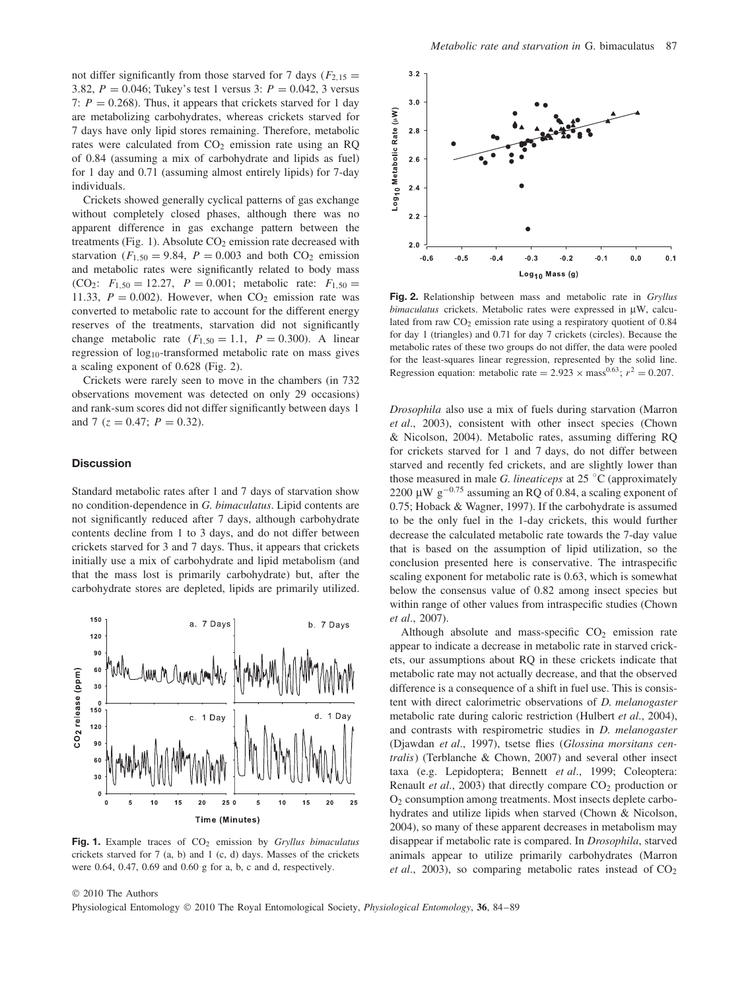not differ significantly from those starved for 7 days  $(F_{2,15} =$ 3*.*82, *P* = 0*.*046; Tukey's test 1 versus 3: *P* = 0*.*042, 3 versus 7:  $P = 0.268$ ). Thus, it appears that crickets starved for 1 day are metabolizing carbohydrates, whereas crickets starved for 7 days have only lipid stores remaining. Therefore, metabolic rates were calculated from  $CO<sub>2</sub>$  emission rate using an RQ of 0.84 (assuming a mix of carbohydrate and lipids as fuel) for 1 day and 0.71 (assuming almost entirely lipids) for 7-day individuals.

Crickets showed generally cyclical patterns of gas exchange without completely closed phases, although there was no apparent difference in gas exchange pattern between the treatments (Fig. 1). Absolute  $CO<sub>2</sub>$  emission rate decreased with starvation ( $F_{1,50} = 9.84$ ,  $P = 0.003$  and both CO<sub>2</sub> emission and metabolic rates were significantly related to body mass  $(CO_2$ :  $F_{1,50} = 12.27$ ,  $P = 0.001$ ; metabolic rate:  $F_{1,50} =$ 11.33,  $P = 0.002$ ). However, when  $CO<sub>2</sub>$  emission rate was converted to metabolic rate to account for the different energy reserves of the treatments, starvation did not significantly change metabolic rate  $(F_{1,50} = 1.1, P = 0.300)$ . A linear regression of  $log_{10}$ -transformed metabolic rate on mass gives a scaling exponent of 0.628 (Fig. 2).

Crickets were rarely seen to move in the chambers (in 732 observations movement was detected on only 29 occasions) and rank-sum scores did not differ significantly between days 1 and 7  $(z = 0.47; P = 0.32)$ .

## **Discussion**

Standard metabolic rates after 1 and 7 days of starvation show no condition-dependence in *G. bimaculatus*. Lipid contents are not significantly reduced after 7 days, although carbohydrate contents decline from 1 to 3 days, and do not differ between crickets starved for 3 and 7 days. Thus, it appears that crickets initially use a mix of carbohydrate and lipid metabolism (and that the mass lost is primarily carbohydrate) but, after the carbohydrate stores are depleted, lipids are primarily utilized.



**Fig. 1.** Example traces of CO<sub>2</sub> emission by *Gryllus bimaculatus* crickets starved for 7 (a, b) and 1 (c, d) days. Masses of the crickets were 0.64, 0.47, 0.69 and 0.60 g for a, b, c and d, respectively.



**Fig. 2.** Relationship between mass and metabolic rate in *Gryllus bimaculatus* crickets. Metabolic rates were expressed in μW, calculated from raw  $CO<sub>2</sub>$  emission rate using a respiratory quotient of 0.84 for day 1 (triangles) and 0.71 for day 7 crickets (circles). Because the metabolic rates of these two groups do not differ, the data were pooled for the least-squares linear regression, represented by the solid line. Regression equation: metabolic rate =  $2.923 \times \text{mass}^{0.63}$ ;  $r^2 = 0.207$ .

*Drosophila* also use a mix of fuels during starvation (Marron *et al*., 2003), consistent with other insect species (Chown & Nicolson, 2004). Metabolic rates, assuming differing RQ for crickets starved for 1 and 7 days, do not differ between starved and recently fed crickets, and are slightly lower than those measured in male *G. lineaticeps* at 25 ◦ C (approximately 2200  $\mu$ W g<sup>-0.75</sup> assuming an RQ of 0.84, a scaling exponent of 0.75; Hoback & Wagner, 1997). If the carbohydrate is assumed to be the only fuel in the 1-day crickets, this would further decrease the calculated metabolic rate towards the 7-day value that is based on the assumption of lipid utilization, so the conclusion presented here is conservative. The intraspecific scaling exponent for metabolic rate is 0.63, which is somewhat below the consensus value of 0.82 among insect species but within range of other values from intraspecific studies (Chown *et al*., 2007).

Although absolute and mass-specific  $CO<sub>2</sub>$  emission rate appear to indicate a decrease in metabolic rate in starved crickets, our assumptions about RQ in these crickets indicate that metabolic rate may not actually decrease, and that the observed difference is a consequence of a shift in fuel use. This is consistent with direct calorimetric observations of *D. melanogaster* metabolic rate during caloric restriction (Hulbert *et al*., 2004), and contrasts with respirometric studies in *D. melanogaster* (Djawdan *et al*., 1997), tsetse flies (*Glossina morsitans centralis*) (Terblanche & Chown, 2007) and several other insect taxa (e.g. Lepidoptera; Bennett *et al*., 1999; Coleoptera: Renault *et al.*, 2003) that directly compare CO<sub>2</sub> production or O2 consumption among treatments. Most insects deplete carbohydrates and utilize lipids when starved (Chown & Nicolson, 2004), so many of these apparent decreases in metabolism may disappear if metabolic rate is compared. In *Drosophila*, starved animals appear to utilize primarily carbohydrates (Marron *et al.*, 2003), so comparing metabolic rates instead of  $CO<sub>2</sub>$ 

© 2010 The Authors Physiological Entomology © 2010 The Royal Entomological Society, *Physiological Entomology*, **36**, 84–89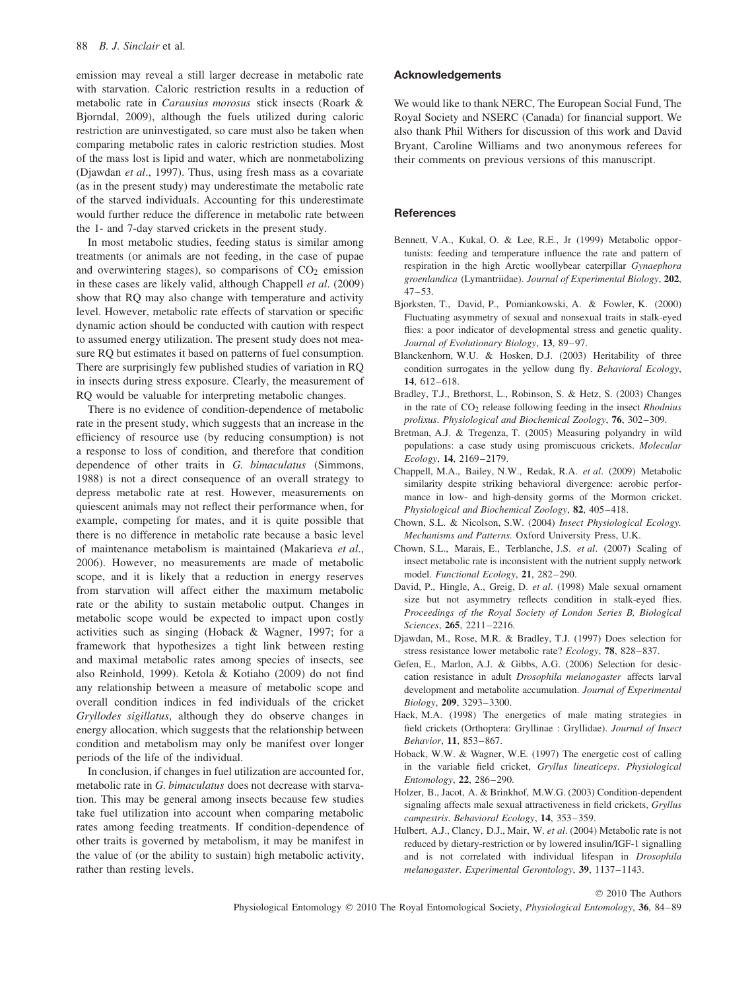emission may reveal a still larger decrease in metabolic rate with starvation. Caloric restriction results in a reduction of metabolic rate in *Carausius morosus* stick insects (Roark & Bjorndal, 2009), although the fuels utilized during caloric restriction are uninvestigated, so care must also be taken when comparing metabolic rates in caloric restriction studies. Most of the mass lost is lipid and water, which are nonmetabolizing (Djawdan *et al*., 1997). Thus, using fresh mass as a covariate (as in the present study) may underestimate the metabolic rate of the starved individuals. Accounting for this underestimate would further reduce the difference in metabolic rate between the 1- and 7-day starved crickets in the present study.

In most metabolic studies, feeding status is similar among treatments (or animals are not feeding, in the case of pupae and overwintering stages), so comparisons of  $CO<sub>2</sub>$  emission in these cases are likely valid, although Chappell *et al*. (2009) show that RQ may also change with temperature and activity level. However, metabolic rate effects of starvation or specific dynamic action should be conducted with caution with respect to assumed energy utilization. The present study does not measure RQ but estimates it based on patterns of fuel consumption. There are surprisingly few published studies of variation in RQ in insects during stress exposure. Clearly, the measurement of RQ would be valuable for interpreting metabolic changes.

There is no evidence of condition-dependence of metabolic rate in the present study, which suggests that an increase in the efficiency of resource use (by reducing consumption) is not a response to loss of condition, and therefore that condition dependence of other traits in *G. bimaculatus* (Simmons, 1988) is not a direct consequence of an overall strategy to depress metabolic rate at rest. However, measurements on quiescent animals may not reflect their performance when, for example, competing for mates, and it is quite possible that there is no difference in metabolic rate because a basic level of maintenance metabolism is maintained (Makarieva *et al*., 2006). However, no measurements are made of metabolic scope, and it is likely that a reduction in energy reserves from starvation will affect either the maximum metabolic rate or the ability to sustain metabolic output. Changes in metabolic scope would be expected to impact upon costly activities such as singing (Hoback & Wagner, 1997; for a framework that hypothesizes a tight link between resting and maximal metabolic rates among species of insects, see also Reinhold, 1999). Ketola & Kotiaho (2009) do not find any relationship between a measure of metabolic scope and overall condition indices in fed individuals of the cricket *Gryllodes sigillatus*, although they do observe changes in energy allocation, which suggests that the relationship between condition and metabolism may only be manifest over longer periods of the life of the individual.

In conclusion, if changes in fuel utilization are accounted for, metabolic rate in *G. bimaculatus* does not decrease with starvation. This may be general among insects because few studies take fuel utilization into account when comparing metabolic rates among feeding treatments. If condition-dependence of other traits is governed by metabolism, it may be manifest in the value of (or the ability to sustain) high metabolic activity, rather than resting levels.

### **Acknowledgements**

We would like to thank NERC, The European Social Fund, The Royal Society and NSERC (Canada) for financial support. We also thank Phil Withers for discussion of this work and David Bryant, Caroline Williams and two anonymous referees for their comments on previous versions of this manuscript.

#### **References**

- Bennett, V.A., Kukal, O. & Lee, R.E., Jr (1999) Metabolic opportunists: feeding and temperature influence the rate and pattern of respiration in the high Arctic woollybear caterpillar *Gynaephora groenlandica* (Lymantriidae). *Journal of Experimental Biology*, **202**,  $47 - 53$ .
- Bjorksten, T., David, P., Pomiankowski, A. & Fowler, K. (2000) Fluctuating asymmetry of sexual and nonsexual traits in stalk-eyed flies: a poor indicator of developmental stress and genetic quality. *Journal of Evolutionary Biology*, **13**, 89–97.
- Blanckenhorn, W.U. & Hosken, D.J. (2003) Heritability of three condition surrogates in the yellow dung fly. *Behavioral Ecology*, **14**, 612–618.
- Bradley, T.J., Brethorst, L., Robinson, S. & Hetz, S. (2003) Changes in the rate of CO2 release following feeding in the insect *Rhodnius prolixus*. *Physiological and Biochemical Zoology*, **76**, 302–309.
- Bretman, A.J. & Tregenza, T. (2005) Measuring polyandry in wild populations: a case study using promiscuous crickets. *Molecular Ecology*, **14**, 2169–2179.
- Chappell, M.A., Bailey, N.W., Redak, R.A. *et al*. (2009) Metabolic similarity despite striking behavioral divergence: aerobic performance in low- and high-density gorms of the Mormon cricket. *Physiological and Biochemical Zoology*, **82**, 405–418.
- Chown, S.L. & Nicolson, S.W. (2004) *Insect Physiological Ecology. Mechanisms and Patterns.* Oxford University Press, U.K.
- Chown, S.L., Marais, E., Terblanche, J.S. *et al*. (2007) Scaling of insect metabolic rate is inconsistent with the nutrient supply network model. *Functional Ecology*, **21**, 282–290.
- David, P., Hingle, A., Greig, D. *et al*. (1998) Male sexual ornament size but not asymmetry reflects condition in stalk-eyed flies. *Proceedings of the Royal Society of London Series B, Biological Sciences*, **265**, 2211–2216.
- Djawdan, M., Rose, M.R. & Bradley, T.J. (1997) Does selection for stress resistance lower metabolic rate? *Ecology*, **78**, 828–837.
- Gefen, E., Marlon, A.J. & Gibbs, A.G. (2006) Selection for desiccation resistance in adult *Drosophila melanogaster* affects larval development and metabolite accumulation. *Journal of Experimental Biology*, **209**, 3293–3300.
- Hack, M.A. (1998) The energetics of male mating strategies in field crickets (Orthoptera: Gryllinae : Gryllidae). *Journal of Insect Behavior*, **11**, 853–867.
- Hoback, W.W. & Wagner, W.E. (1997) The energetic cost of calling in the variable field cricket, *Gryllus lineaticeps*. *Physiological Entomology*, **22**, 286–290.
- Holzer, B., Jacot, A. & Brinkhof, M.W.G. (2003) Condition-dependent signaling affects male sexual attractiveness in field crickets, *Gryllus campestris*. *Behavioral Ecology*, **14**, 353–359.
- Hulbert, A.J., Clancy, D.J., Mair, W. *et al*. (2004) Metabolic rate is not reduced by dietary-restriction or by lowered insulin/IGF-1 signalling and is not correlated with individual lifespan in *Drosophila melanogaster*. *Experimental Gerontology*, **39**, 1137–1143.

© 2010 The Authors